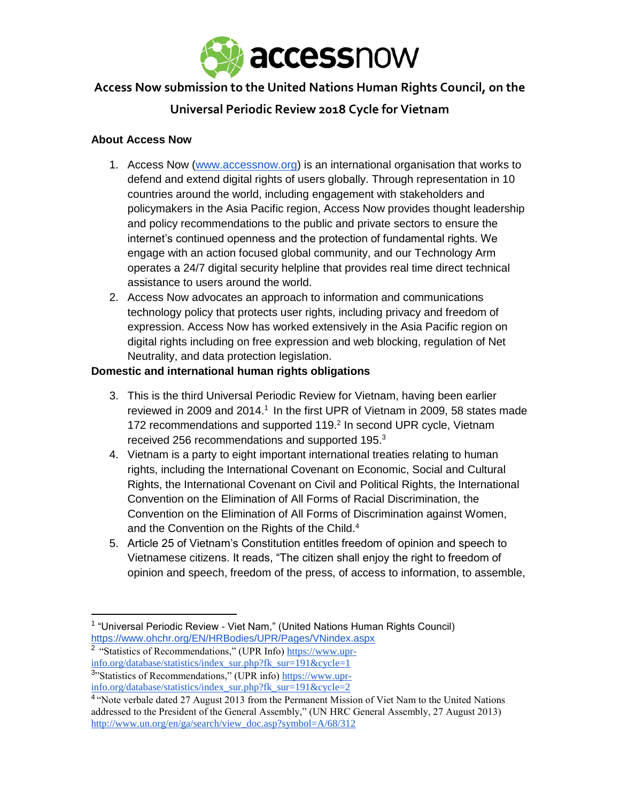

# **Access Now submission to the United Nations Human Rights Council, on the**

# **Universal Periodic Review 2018 Cycle for Vietnam**

### **About Access Now**

- 1. Access Now [\(www.accessnow.org\)](http://www.accessnow.org/) is an international organisation that works to defend and extend digital rights of users globally. Through representation in 10 countries around the world, including engagement with stakeholders and policymakers in the Asia Pacific region, Access Now provides thought leadership and policy recommendations to the public and private sectors to ensure the internet's continued openness and the protection of fundamental rights. We engage with an action focused global community, and our Technology Arm operates a 24/7 digital security helpline that provides real time direct technical assistance to users around the world.
- 2. Access Now advocates an approach to information and communications technology policy that protects user rights, including privacy and freedom of expression. Access Now has worked extensively in the Asia Pacific region on digital rights including on free expression and web blocking, regulation of Net Neutrality, and data protection legislation.

## **Domestic and international human rights obligations**

- 3. This is the third Universal Periodic Review for Vietnam, having been earlier reviewed in 2009 and 2014.<sup>1</sup> In the first UPR of Vietnam in 2009, 58 states made 172 recommendations and supported 119.<sup>2</sup> In second UPR cycle, Vietnam received 256 recommendations and supported 195.<sup>3</sup>
- 4. Vietnam is a party to eight important international treaties relating to human rights, including the International Covenant on Economic, Social and Cultural Rights, the International Covenant on Civil and Political Rights, the International Convention on the Elimination of All Forms of Racial Discrimination, the Convention on the Elimination of All Forms of Discrimination against Women, and the Convention on the Rights of the Child.<sup>4</sup>
- 5. Article 25 of Vietnam's Constitution entitles freedom of opinion and speech to Vietnamese citizens. It reads, "The citizen shall enjoy the right to freedom of opinion and speech, freedom of the press, of access to information, to assemble,

l

<sup>&</sup>lt;sup>1</sup> "Universal Periodic Review - Viet Nam," (United Nations Human Rights Council) <https://www.ohchr.org/EN/HRBodies/UPR/Pages/VNindex.aspx>

<sup>&</sup>lt;sup>2</sup> "Statistics of Recommendations," (UPR Info) [https://www.upr](https://www.upr-info.org/database/statistics/index_sur.php?fk_sur=191&cycle=1)[info.org/database/statistics/index\\_sur.php?fk\\_sur=191&cycle=1](https://www.upr-info.org/database/statistics/index_sur.php?fk_sur=191&cycle=1)

<sup>&</sup>lt;sup>3</sup>"Statistics of Recommendations," (UPR info) [https://www.upr](https://www.upr-info.org/database/statistics/index_sur.php?fk_sur=191&cycle=2)[info.org/database/statistics/index\\_sur.php?fk\\_sur=191&cycle=2](https://www.upr-info.org/database/statistics/index_sur.php?fk_sur=191&cycle=2)

<sup>&</sup>lt;sup>4</sup> 'Note verbale dated 27 August 2013 from the Permanent Mission of Viet Nam to the United Nations addressed to the President of the General Assembly," (UN HRC General Assembly, 27 August 2013) [http://www.un.org/en/ga/search/view\\_doc.asp?symbol=A/68/312](http://www.un.org/en/ga/search/view_doc.asp?symbol=A/68/312)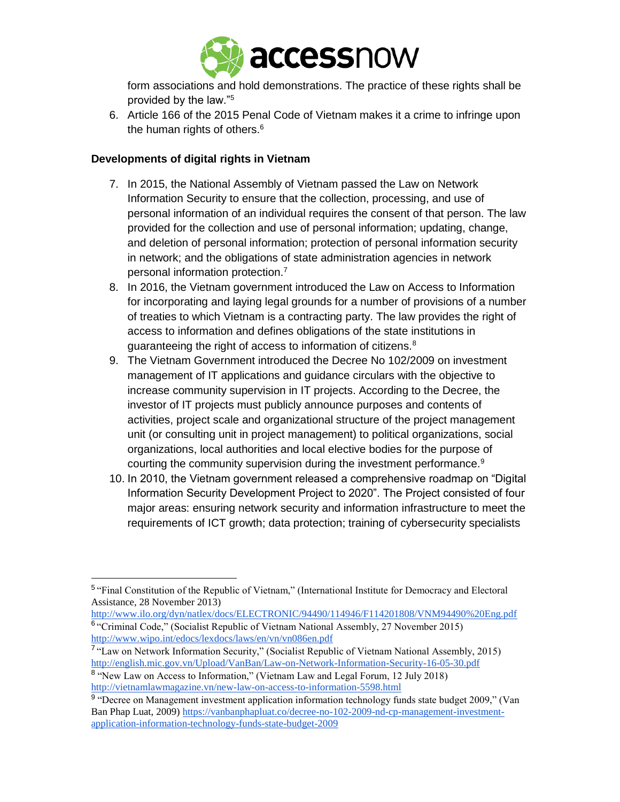

form associations and hold demonstrations. The practice of these rights shall be provided by the law."<sup>5</sup>

6. Article 166 of the 2015 Penal Code of Vietnam makes it a crime to infringe upon the human rights of others.<sup>6</sup>

## **Developments of digital rights in Vietnam**

- 7. In 2015, the National Assembly of Vietnam passed the Law on Network Information Security to ensure that the collection, processing, and use of personal information of an individual requires the consent of that person. The law provided for the collection and use of personal information; updating, change, and deletion of personal information; protection of personal information security in network; and the obligations of state administration agencies in network personal information protection.<sup>7</sup>
- 8. In 2016, the Vietnam government introduced the Law on Access to Information for incorporating and laying legal grounds for a number of provisions of a number of treaties to which Vietnam is a contracting party. The law provides the right of access to information and defines obligations of the state institutions in guaranteeing the right of access to information of citizens.<sup>8</sup>
- 9. The Vietnam Government introduced the Decree No 102/2009 on investment management of IT applications and guidance circulars with the objective to increase community supervision in IT projects. According to the Decree, the investor of IT projects must publicly announce purposes and contents of activities, project scale and organizational structure of the project management unit (or consulting unit in project management) to political organizations, social organizations, local authorities and local elective bodies for the purpose of courting the community supervision during the investment performance.<sup>9</sup>
- 10. In 2010, the Vietnam government released a comprehensive roadmap on "Digital Information Security Development Project to 2020". The Project consisted of four major areas: ensuring network security and information infrastructure to meet the requirements of ICT growth; data protection; training of cybersecurity specialists

<http://www.ilo.org/dyn/natlex/docs/ELECTRONIC/94490/114946/F114201808/VNM94490%20Eng.pdf> <sup>6</sup> "Criminal Code," (Socialist Republic of Vietnam National Assembly, 27 November 2015)

<http://www.wipo.int/edocs/lexdocs/laws/en/vn/vn086en.pdf>

l

<sup>&</sup>lt;sup>5</sup> "Final Constitution of the Republic of Vietnam," (International Institute for Democracy and Electoral Assistance, 28 November 2013)

<sup>&</sup>lt;sup>7</sup> "Law on Network Information Security," (Socialist Republic of Vietnam National Assembly, 2015) <http://english.mic.gov.vn/Upload/VanBan/Law-on-Network-Information-Security-16-05-30.pdf>

<sup>&</sup>lt;sup>8</sup> "New Law on Access to Information," (Vietnam Law and Legal Forum, 12 July 2018) <http://vietnamlawmagazine.vn/new-law-on-access-to-information-5598.html>

<sup>&</sup>lt;sup>9</sup> "Decree on Management investment application information technology funds state budget 2009," (Van Ban Phap Luat, 2009) [https://vanbanphapluat.co/decree-no-102-2009-nd-cp-management-investment](https://vanbanphapluat.co/decree-no-102-2009-nd-cp-management-investment-application-information-technology-funds-state-budget-2009)[application-information-technology-funds-state-budget-2009](https://vanbanphapluat.co/decree-no-102-2009-nd-cp-management-investment-application-information-technology-funds-state-budget-2009)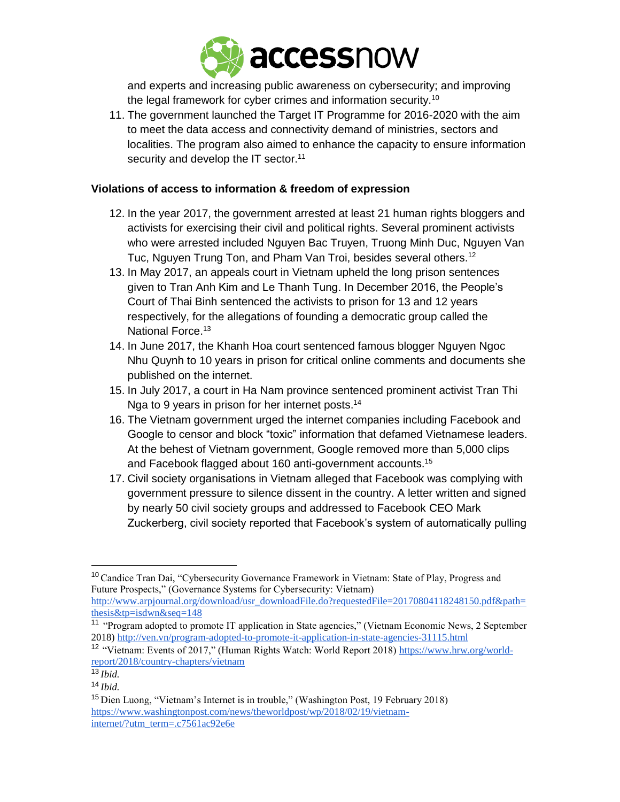

and experts and increasing public awareness on cybersecurity; and improving the legal framework for cyber crimes and information security.<sup>10</sup>

11. The government launched the Target IT Programme for 2016-2020 with the aim to meet the data access and connectivity demand of ministries, sectors and localities. The program also aimed to enhance the capacity to ensure information security and develop the IT sector.<sup>11</sup>

### **Violations of access to information & freedom of expression**

- 12. In the year 2017, the government arrested at least 21 human rights bloggers and activists for exercising their civil and political rights. Several prominent activists who were arrested included Nguyen Bac Truyen, Truong Minh Duc, Nguyen Van Tuc, Nguyen Trung Ton, and Pham Van Troi, besides several others.<sup>12</sup>
- 13. In May 2017, an appeals court in Vietnam upheld the long prison sentences given to Tran Anh Kim and Le Thanh Tung. In December 2016, the People's Court of Thai Binh sentenced the activists to prison for 13 and 12 years respectively, for the allegations of founding a democratic group called the National Force.<sup>13</sup>
- 14. In June 2017, the Khanh Hoa court sentenced famous blogger Nguyen Ngoc Nhu Quynh to 10 years in prison for critical online comments and documents she published on the internet.
- 15. In July 2017, a court in Ha Nam province sentenced prominent activist Tran Thi Nga to 9 years in prison for her internet posts.<sup>14</sup>
- 16. The Vietnam government urged the internet companies including Facebook and Google to censor and block "toxic" information that defamed Vietnamese leaders. At the behest of Vietnam government, Google removed more than 5,000 clips and Facebook flagged about 160 anti-government accounts.<sup>15</sup>
- 17. Civil society organisations in Vietnam alleged that Facebook was complying with government pressure to silence dissent in the country. A letter written and signed by nearly 50 civil society groups and addressed to Facebook CEO Mark Zuckerberg, civil society reported that Facebook's system of automatically pulling

 $\overline{\phantom{a}}$ 

<sup>&</sup>lt;sup>10</sup> Candice Tran Dai, "Cybersecurity Governance Framework in Vietnam: State of Play, Progress and Future Prospects," (Governance Systems for Cybersecurity: Vietnam)

[http://www.arpjournal.org/download/usr\\_downloadFile.do?requestedFile=20170804118248150.pdf&path=](http://www.arpjournal.org/download/usr_downloadFile.do?requestedFile=20170804118248150.pdf&path=thesis&tp=isdwn&seq=148) [thesis&tp=isdwn&seq=148](http://www.arpjournal.org/download/usr_downloadFile.do?requestedFile=20170804118248150.pdf&path=thesis&tp=isdwn&seq=148)

<sup>11</sup> "Program adopted to promote IT application in State agencies," (Vietnam Economic News, 2 September 2018)<http://ven.vn/program-adopted-to-promote-it-application-in-state-agencies-31115.html>

<sup>12</sup> "Vietnam: Events of 2017," (Human Rights Watch: World Report 2018) [https://www.hrw.org/world](https://www.hrw.org/world-report/2018/country-chapters/vietnam)[report/2018/country-chapters/vietnam](https://www.hrw.org/world-report/2018/country-chapters/vietnam)

 $^{13}$ *Ibid.* 

<sup>14</sup> *Ibid.*

<sup>15</sup> Dien Luong, "Vietnam's Internet is in trouble," (Washington Post, 19 February 2018) [https://www.washingtonpost.com/news/theworldpost/wp/2018/02/19/vietnam](https://www.washingtonpost.com/news/theworldpost/wp/2018/02/19/vietnam-internet/?utm_term=.c7561ac92e6e)[internet/?utm\\_term=.c7561ac92e6e](https://www.washingtonpost.com/news/theworldpost/wp/2018/02/19/vietnam-internet/?utm_term=.c7561ac92e6e)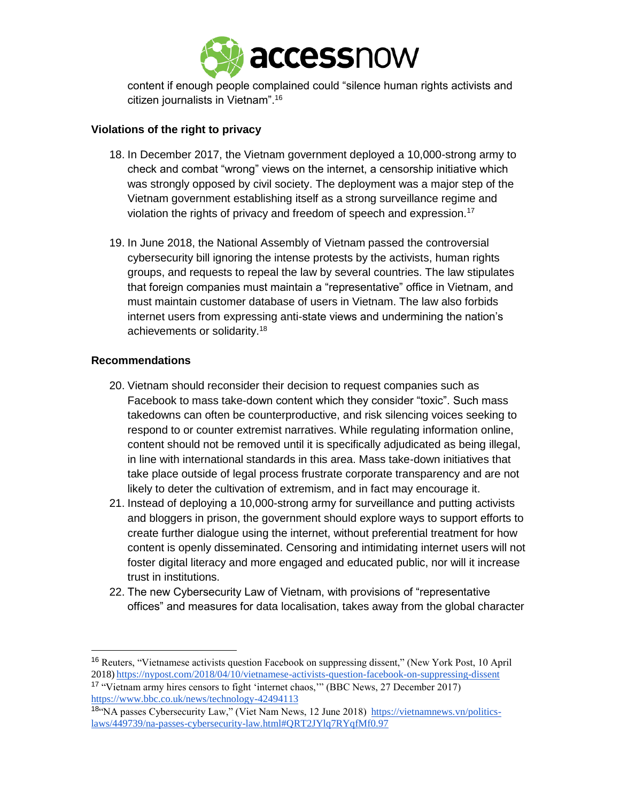

content if enough people complained could "silence human rights activists and citizen journalists in Vietnam".<sup>16</sup>

## **Violations of the right to privacy**

- 18. In December 2017, the Vietnam government deployed a 10,000-strong army to check and combat "wrong" views on the internet, a censorship initiative which was strongly opposed by civil society. The deployment was a major step of the Vietnam government establishing itself as a strong surveillance regime and violation the rights of privacy and freedom of speech and expression.<sup>17</sup>
- 19. In June 2018, the National Assembly of Vietnam passed the controversial cybersecurity bill ignoring the intense protests by the activists, human rights groups, and requests to repeal the law by several countries. The law stipulates that foreign companies must maintain a "representative" office in Vietnam, and must maintain customer database of users in Vietnam. The law also forbids internet users from expressing anti-state views and undermining the nation's achievements or solidarity.<sup>18</sup>

#### **Recommendations**

 $\overline{\phantom{a}}$ 

- 20. Vietnam should reconsider their decision to request companies such as Facebook to mass take-down content which they consider "toxic". Such mass takedowns can often be counterproductive, and risk silencing voices seeking to respond to or counter extremist narratives. While regulating information online, content should not be removed until it is specifically adjudicated as being illegal, in line with international standards in this area. Mass take-down initiatives that take place outside of legal process frustrate corporate transparency and are not likely to deter the cultivation of extremism, and in fact may encourage it.
- 21. Instead of deploying a 10,000-strong army for surveillance and putting activists and bloggers in prison, the government should explore ways to support efforts to create further dialogue using the internet, without preferential treatment for how content is openly disseminated. Censoring and intimidating internet users will not foster digital literacy and more engaged and educated public, nor will it increase trust in institutions.
- 22. The new Cybersecurity Law of Vietnam, with provisions of "representative offices" and measures for data localisation, takes away from the global character

<sup>&</sup>lt;sup>16</sup> Reuters, "Vietnamese activists question Facebook on suppressing dissent," (New York Post, 10 April 2018) [https://nypost.com/2018/04/10/vietnamese-activists-question-facebook-on-suppressing-dissent](https://nypost.com/2018/04/10/vietnamese-activists-question-facebook-on-suppressing-dissent/)

<sup>17</sup> "Vietnam army hires censors to fight 'internet chaos,'" (BBC News, 27 December 2017) <https://www.bbc.co.uk/news/technology-42494113>

<sup>18&</sup>quot;NA passes Cybersecurity Law," (Viet Nam News, 12 June 2018) [https://vietnamnews.vn/politics](https://vietnamnews.vn/politics-laws/449739/na-passes-cybersecurity-law.html#QRT2JYlq7RYqfMf0.97)[laws/449739/na-passes-cybersecurity-law.html#QRT2JYlq7RYqfMf0.97](https://vietnamnews.vn/politics-laws/449739/na-passes-cybersecurity-law.html#QRT2JYlq7RYqfMf0.97)